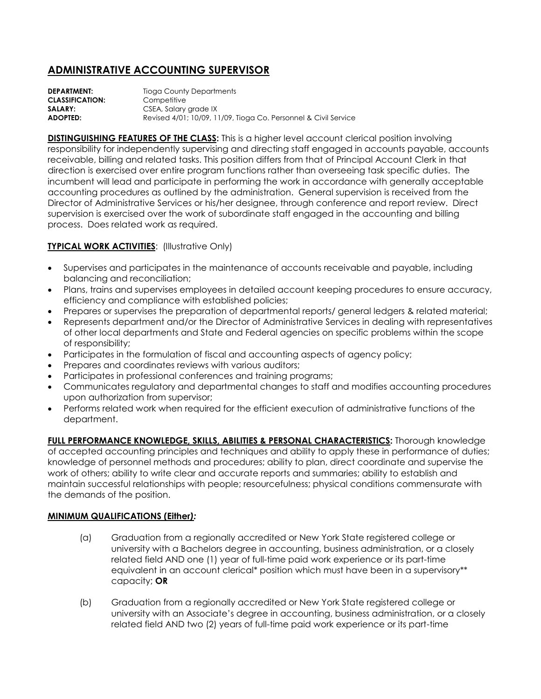## **ADMINISTRATIVE ACCOUNTING SUPERVISOR**

**DEPARTMENT:** Tioga County Departments **CLASSIFICATION:** Competitive **SALARY:** CSEA, Salary grade IX **ADOPTED:** Revised 4/01; 10/09, 11/09, Tioga Co. Personnel & Civil Service

**DISTINGUISHING FEATURES OF THE CLASS:** This is a higher level account clerical position involving responsibility for independently supervising and directing staff engaged in accounts payable, accounts receivable, billing and related tasks. This position differs from that of Principal Account Clerk in that direction is exercised over entire program functions rather than overseeing task specific duties. The incumbent will lead and participate in performing the work in accordance with generally acceptable accounting procedures as outlined by the administration. General supervision is received from the Director of Administrative Services or his/her designee, through conference and report review. Direct supervision is exercised over the work of subordinate staff engaged in the accounting and billing process. Does related work as required.

## **TYPICAL WORK ACTIVITIES: (Illustrative Only)**

- Supervises and participates in the maintenance of accounts receivable and payable, including balancing and reconciliation;
- Plans, trains and supervises employees in detailed account keeping procedures to ensure accuracy, efficiency and compliance with established policies;
- Prepares or supervises the preparation of departmental reports/ general ledgers & related material;
- Represents department and/or the Director of Administrative Services in dealing with representatives of other local departments and State and Federal agencies on specific problems within the scope of responsibility;
- Participates in the formulation of fiscal and accounting aspects of agency policy;
- Prepares and coordinates reviews with various auditors;
- Participates in professional conferences and training programs;
- Communicates regulatory and departmental changes to staff and modifies accounting procedures upon authorization from supervisor;
- Performs related work when required for the efficient execution of administrative functions of the department.

**FULL PERFORMANCE KNOWLEDGE, SKILLS, ABILITIES & PERSONAL CHARACTERISTICS:** Thorough knowledge of accepted accounting principles and techniques and ability to apply these in performance of duties; knowledge of personnel methods and procedures; ability to plan, direct coordinate and supervise the work of others; ability to write clear and accurate reports and summaries; ability to establish and maintain successful relationships with people; resourcefulness; physical conditions commensurate with the demands of the position.

## **MINIMUM QUALIFICATIONS (Either***):*

- (a) Graduation from a regionally accredited or New York State registered college or university with a Bachelors degree in accounting, business administration, or a closely related field AND one (1) year of full-time paid work experience or its part-time equivalent in an account clerical\* position which must have been in a supervisory\*\* capacity; **OR**
- (b) Graduation from a regionally accredited or New York State registered college or university with an Associate's degree in accounting, business administration, or a closely related field AND two (2) years of full-time paid work experience or its part-time